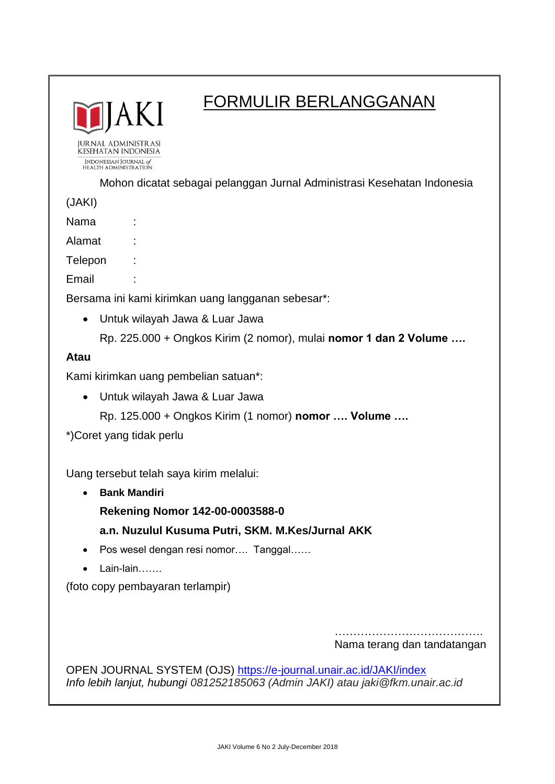

# FORMULIR BERLANGGANAN

**JURNAL ADMINISTRASI** KESEHATAN INDONESIA INDONESIAN JOURNAL of<br>HEALTH ADMINISTRATION

Mohon dicatat sebagai pelanggan Jurnal Administrasi Kesehatan Indonesia

(JAKI)

Nama :

Alamat :

Telepon :

Email :

Bersama ini kami kirimkan uang langganan sebesar\*:

- Untuk wilayah Jawa & Luar Jawa
	- Rp. 225.000 + Ongkos Kirim (2 nomor), mulai **nomor 1 dan 2 Volume ….**

### **Atau**

Kami kirimkan uang pembelian satuan\*:

Untuk wilayah Jawa & Luar Jawa

Rp. 125.000 + Ongkos Kirim (1 nomor) **nomor …. Volume ….**

\*)Coret yang tidak perlu

Uang tersebut telah saya kirim melalui:

**Bank Mandiri**

**Rekening Nomor 142-00-0003588-0**

**a.n. Nuzulul Kusuma Putri, SKM. M.Kes/Jurnal AKK**

- Pos wesel dengan resi nomor.... Tanggal......
- Lain-lain…….

(foto copy pembayaran terlampir)

…………………………………. Nama terang dan tandatangan

OPEN JOURNAL SYSTEM (OJS)<https://e-journal.unair.ac.id/JAKI/index> *Info lebih lanjut, hubungi 081252185063 (Admin JAKI) atau jaki@fkm.unair.ac.id*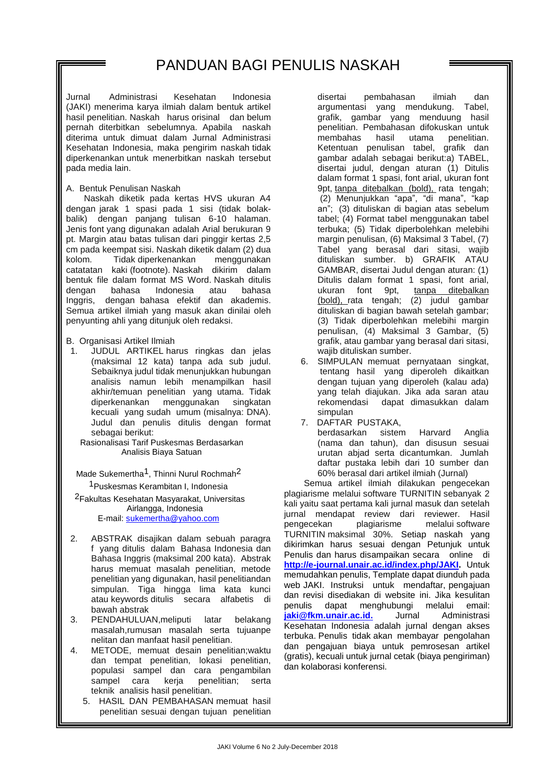Jurnal Administrasi Kesehatan Indonesia (JAKI) menerima karya ilmiah dalam bentuk artikel hasil penelitian. Naskah harus orisinal dan belum pernah diterbitkan sebelumnya. Apabila naskah diterima untuk dimuat dalam Jurnal Administrasi Kesehatan Indonesia, maka pengirim naskah tidak diperkenankan untuk menerbitkan naskah tersebut pada media lain.

A. Bentuk Penulisan Naskah

Naskah diketik pada kertas HVS ukuran A4 dengan jarak 1 spasi pada 1 sisi (tidak bolakbalik) dengan panjang tulisan 6-10 halaman. Jenis font yang digunakan adalah Arial berukuran 9 pt. Margin atau batas tulisan dari pinggir kertas 2,5 cm pada keempat sisi. Naskah diketik dalam (2) dua Tidak diperkenankan catatatan kaki (footnote). Naskah dikirim dalam bentuk file dalam format MS Word. Naskah ditulis dengan bahasa Indonesia atau bahasa Inggris, dengan bahasa efektif dan akademis. Semua artikel ilmiah yang masuk akan dinilai oleh penyunting ahli yang ditunjuk oleh redaksi.

- B. Organisasi Artikel Ilmiah
- 1. JUDUL ARTIKEL harus ringkas dan jelas (maksimal 12 kata) tanpa ada sub judul. Sebaiknya judul tidak menunjukkan hubungan analisis namun lebih menampilkan hasil akhir/temuan penelitian yang utama. Tidak diperkenankan menggunakan singkatan kecuali yang sudah umum (misalnya: DNA). Judul dan penulis ditulis dengan format sebagai berikut:

Rasionalisasi Tarif Puskesmas Berdasarkan Analisis Biaya Satuan

Made Sukemertha<sup>1</sup>, Thinni Nurul Rochmah<sup>2</sup> 1Puskesmas Kerambitan I, Indonesia

2Fakultas Kesehatan Masyarakat, Universitas Airlangga, Indonesia

E-mail: [sukemertha@yahoo.com](mailto:sukemertha@yahoo.com)

- 2. ABSTRAK disajikan dalam sebuah paragra f yang ditulis dalam Bahasa Indonesia dan Bahasa Inggris (maksimal 200 kata). Abstrak harus memuat masalah penelitian, metode penelitian yang digunakan, hasil penelitiandan simpulan. Tiga hingga lima kata kunci atau keywords ditulis secara alfabetis di bawah abstrak
- 3. PENDAHULUAN,meliputi latar belakang masalah,rumusan masalah serta tujuanpe nelitan dan manfaat hasil penelitian.
- 4. METODE, memuat desain penelitian;waktu dan tempat penelitian, lokasi penelitian, populasi sampel dan cara pengambilan sampel cara kerja penelitian; serta teknik analisis hasil penelitian.
	- 5. HASIL DAN PEMBAHASAN memuat hasil penelitian sesuai dengan tujuan penelitian

disertai pembahasan ilmiah dan argumentasi yang mendukung. Tabel, grafik, gambar yang menduung hasil penelitian. Pembahasan difokuskan untuk membahas hasil utama penelitian. Ketentuan penulisan tabel, grafik dan gambar adalah sebagai berikut:a) TABEL, disertai judul, dengan aturan (1) Ditulis dalam format 1 spasi, font arial, ukuran font 9pt, tanpa ditebalkan (bold), rata tengah; (2) Menunjukkan "apa", "di mana", "kap an"; (3) dituliskan di bagian atas sebelum tabel; (4) Format tabel menggunakan tabel terbuka; (5) Tidak diperbolehkan melebihi margin penulisan, (6) Maksimal 3 Tabel, (7) Tabel yang berasal dari sitasi, wajib dituliskan sumber. b) GRAFIK ATAU GAMBAR, disertai Judul dengan aturan: (1) Ditulis dalam format 1 spasi, font arial, ukuran font 9pt, tanpa ditebalkan (bold), rata tengah; (2) judul gambar dituliskan di bagian bawah setelah gambar; (3) Tidak diperbolehkan melebihi margin penulisan, (4) Maksimal 3 Gambar, (5) grafik, atau gambar yang berasal dari sitasi, wajib dituliskan sumber.

- 6. SIMPULAN memuat pernyataan singkat, tentang hasil yang diperoleh dikaitkan dengan tujuan yang diperoleh (kalau ada) yang telah diajukan. Jika ada saran atau rekomendasi dapat dimasukkan dalam simpulan
- 7. DAFTAR PUSTAKA, berdasarkan sistem Harvard Anglia (nama dan tahun), dan disusun sesuai urutan abjad serta dicantumkan. Jumlah daftar pustaka lebih dari 10 sumber dan 60% berasal dari artikel ilmiah (Jurnal)

Semua artikel ilmiah dilakukan pengecekan plagiarisme melalui software TURNITIN sebanyak 2 kali yaitu saat pertama kali jurnal masuk dan setelah jurnal mendapat review dari reviewer. Hasil pengecekan plagiarisme melalui software TURNITIN maksimal 30%. Setiap naskah yang dikirimkan harus sesuai dengan Petunjuk untuk Penulis dan harus disampaikan secara online di **[http://e-journal.unair.ac.id/index.php/JAKI.](http://e-journal.unair.ac.id/index.php/JAKI)** Untuk memudahkan penulis, Template dapat diunduh pada web JAKI. Instruksi untuk mendaftar, pengajuan dan revisi disediakan di website ini. Jika kesulitan penulis dapat menghubungi melalui emai[l:](mailto:%20jaki@fkm.unair.ac.id.) **[jaki@fkm.unair.ac.id.](mailto:%20jaki@fkm.unair.ac.id.)** Jurnal Administrasi Kesehatan Indonesia adalah jurnal dengan akses terbuka. Penulis tidak akan membayar pengolahan dan pengajuan biaya untuk pemrosesan artikel (gratis), kecuali untuk jurnal cetak (biaya pengiriman) dan kolaborasi konferensi.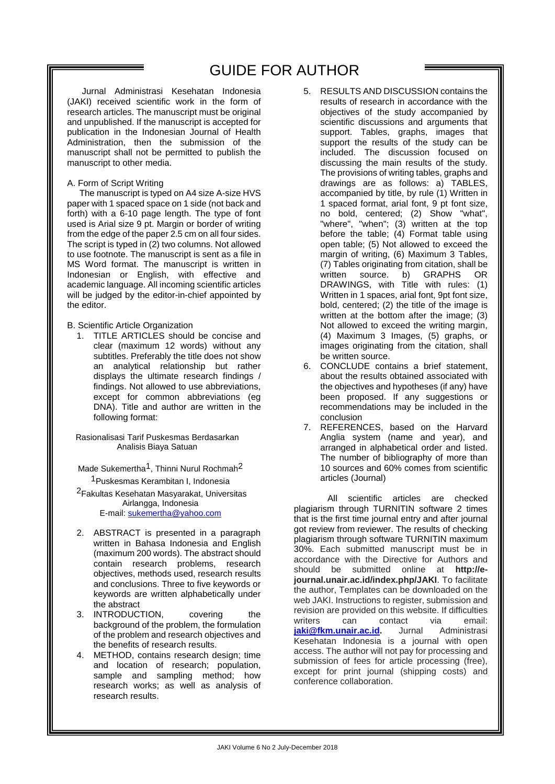## GUIDE FOR AUTHOR

 Jurnal Administrasi Kesehatan Indonesia (JAKI) received scientific work in the form of research articles. The manuscript must be original and unpublished. If the manuscript is accepted for publication in the Indonesian Journal of Health Administration, then the submission of the manuscript shall not be permitted to publish the manuscript to other media.

### A. Form of Script Writing

 The manuscript is typed on A4 size A-size HVS paper with 1 spaced space on 1 side (not back and forth) with a 6-10 page length. The type of font used is Arial size 9 pt. Margin or border of writing from the edge of the paper 2.5 cm on all four sides. The script is typed in (2) two columns. Not allowed to use footnote. The manuscript is sent as a file in MS Word format. The manuscript is written in Indonesian or English, with effective and academic language. All incoming scientific articles will be judged by the editor-in-chief appointed by the editor.

#### B. Scientific Article Organization

1. TITLE ARTICLES should be concise and clear (maximum 12 words) without any subtitles. Preferably the title does not show an analytical relationship but rather displays the ultimate research findings / findings. Not allowed to use abbreviations, except for common abbreviations (eg DNA). Title and author are written in the following format:

Rasionalisasi Tarif Puskesmas Berdasarkan Analisis Biaya Satuan

Made Sukemertha<sup>1</sup>, Thinni Nurul Rochmah<sup>2</sup> 1Puskesmas Kerambitan I, Indonesia 2Fakultas Kesehatan Masyarakat, Universitas

Airlangga, Indonesia

E-mail: [sukemertha@yahoo.com](mailto:sukemertha@yahoo.com)

- 2. ABSTRACT is presented in a paragraph written in Bahasa Indonesia and English (maximum 200 words). The abstract should contain research problems, research objectives, methods used, research results and conclusions. Three to five keywords or keywords are written alphabetically under the abstract
- 3. INTRODUCTION, covering the background of the problem, the formulation of the problem and research objectives and the benefits of research results.
- 4. METHOD, contains research design; time and location of research; population, sample and sampling method; how research works; as well as analysis of research results.
- 5. RESULTS AND DISCUSSION contains the results of research in accordance with the objectives of the study accompanied by scientific discussions and arguments that support. Tables, graphs, images that support the results of the study can be included. The discussion focused on discussing the main results of the study. The provisions of writing tables, graphs and drawings are as follows: a) TABLES, accompanied by title, by rule (1) Written in 1 spaced format, arial font, 9 pt font size, no bold, centered; (2) Show "what", "where", "when"; (3) written at the top before the table; (4) Format table using open table; (5) Not allowed to exceed the margin of writing, (6) Maximum 3 Tables, (7) Tables originating from citation, shall be written source. b) GRAPHS OR DRAWINGS, with Title with rules: (1) Written in 1 spaces, arial font, 9pt font size, bold, centered; (2) the title of the image is written at the bottom after the image; (3) Not allowed to exceed the writing margin, (4) Maximum 3 Images, (5) graphs, or images originating from the citation, shall be written source.
- 6. CONCLUDE contains a brief statement, about the results obtained associated with the objectives and hypotheses (if any) have been proposed. If any suggestions or recommendations may be included in the conclusion
- 7. REFERENCES, based on the Harvard Anglia system (name and year), and arranged in alphabetical order and listed. The number of bibliography of more than 10 sources and 60% comes from scientific articles (Journal)

All scientific articles are checked plagiarism through TURNITIN software 2 times that is the first time journal entry and after journal got review from reviewer. The results of checking plagiarism through software TURNITIN maximum 30%. Each submitted manuscript must be in accordance with the Directive for Authors and should be submitted online at **http://ejournal.unair.ac.id/index.php/JAKI**. To facilitate the author, Templates can be downloaded on the web JAKI. Instructions to register, submission and revision are provided on this website. If difficulties writers can contact via email: **[jaki@fkm.unair.ac.id.](mailto:jaki@fkm.unair.ac.id)** Jurnal Administrasi Kesehatan Indonesia is a journal with open access. The author will not pay for processing and submission of fees for article processing (free), except for print journal (shipping costs) and conference collaboration.